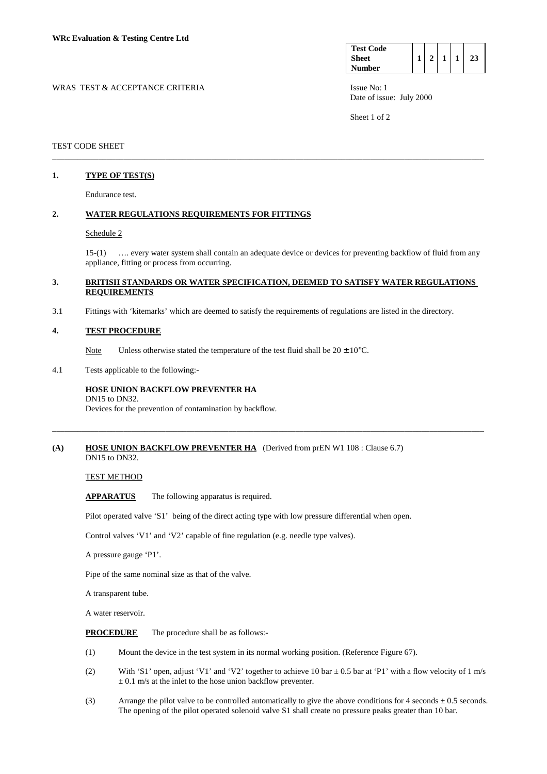| <b>Test Code</b> |  |  |  |
|------------------|--|--|--|
| <b>Sheet</b>     |  |  |  |
| <b>Number</b>    |  |  |  |

WRAS TEST & ACCEPTANCE CRITERIA **ISSUE NO:** 1 Date of issue: July 2000

Sheet 1 of 2

### TEST CODE SHEET

## **1. TYPE OF TEST(S)**

Endurance test.

### **2. WATER REGULATIONS REQUIREMENTS FOR FITTINGS**

#### Schedule 2

 15-(1) …. every water system shall contain an adequate device or devices for preventing backflow of fluid from any appliance, fitting or process from occurring.

### **3. BRITISH STANDARDS OR WATER SPECIFICATION, DEEMED TO SATISFY WATER REGULATIONS REQUIREMENTS**

\_\_\_\_\_\_\_\_\_\_\_\_\_\_\_\_\_\_\_\_\_\_\_\_\_\_\_\_\_\_\_\_\_\_\_\_\_\_\_\_\_\_\_\_\_\_\_\_\_\_\_\_\_\_\_\_\_\_\_\_\_\_\_\_\_\_\_\_\_\_\_\_\_\_\_\_\_\_\_\_\_\_\_\_\_\_\_\_\_\_\_\_\_\_\_\_\_\_\_\_\_\_\_

\_\_\_\_\_\_\_\_\_\_\_\_\_\_\_\_\_\_\_\_\_\_\_\_\_\_\_\_\_\_\_\_\_\_\_\_\_\_\_\_\_\_\_\_\_\_\_\_\_\_\_\_\_\_\_\_\_\_\_\_\_\_\_\_\_\_\_\_\_\_\_\_\_\_\_\_\_\_\_\_\_\_\_\_\_\_\_\_\_\_\_\_\_\_\_\_\_\_\_\_\_\_\_

3.1 Fittings with 'kitemarks' which are deemed to satisfy the requirements of regulations are listed in the directory.

#### **4. TEST PROCEDURE**

Note Unless otherwise stated the temperature of the test fluid shall be  $20 \pm 10^{\circ}$ C.

4.1 Tests applicable to the following:-

#### **HOSE UNION BACKFLOW PREVENTER HA**  DN15 to DN32.

Devices for the prevention of contamination by backflow.

#### **(A) HOSE UNION BACKFLOW PREVENTER HA** (Derived from prEN W1 108 : Clause 6.7) DN15 to DN32.

## TEST METHOD

 **APPARATUS** The following apparatus is required.

Pilot operated valve 'S1' being of the direct acting type with low pressure differential when open.

Control valves 'V1' and 'V2' capable of fine regulation (e.g. needle type valves).

A pressure gauge 'P1'.

Pipe of the same nominal size as that of the valve.

A transparent tube.

A water reservoir.

**PROCEDURE** The procedure shall be as follows:-

- (1) Mount the device in the test system in its normal working position. (Reference Figure 67).
- (2) With 'S1' open, adjust 'V1' and 'V2' together to achieve 10 bar  $\pm$  0.5 bar at 'P1' with a flow velocity of 1 m/s  $\pm$  0.1 m/s at the inlet to the hose union backflow preventer.
- (3) Arrange the pilot valve to be controlled automatically to give the above conditions for 4 seconds  $\pm$  0.5 seconds. The opening of the pilot operated solenoid valve S1 shall create no pressure peaks greater than 10 bar.